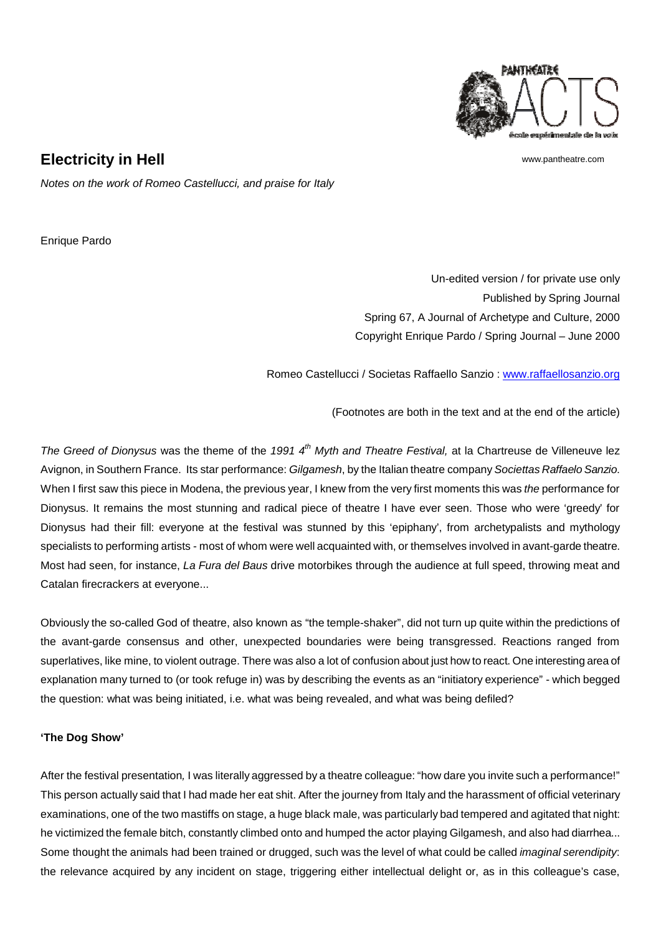

www.pantheatre.com

**Electricity in Hell**

*Notes on the work of Romeo Castellucci, and praise for Italy*

Enrique Pardo

Un-edited version / for private use only Published by Spring Journal Spring 67, A Journal of Archetype and Culture, 2000 Copyright Enrique Pardo / Spring Journal – June 2000

Romeo Castellucci / Societas Raffaello Sanzio : www.raffaellosanzio.org

(Footnotes are both in the text and at the end of the article)

*The Greed of Dionysus* was the theme of the 1991 4<sup>th</sup> Myth and Theatre Festival, at la Chartreuse de Villeneuve lez Avignon, in Southern France. Its star performance: *Gilgamesh*, by the Italian theatre company *Societtas Raffaelo Sanzio*. When I first saw this piece in Modena, the previous year, I knew from the very first moments this was *the* performance for Dionysus. It remains the most stunning and radical piece of theatre I have ever seen. Those who were 'greedy' for Dionysus had their fill: everyone at the festival was stunned by this 'epiphany', from archetypalists and mythology specialists to performing artists - most of whom were well acquainted with, or themselves involved in avant-garde theatre. Most had seen, for instance, *La Fura del Baus* drive motorbikes through the audience at full speed, throwing meat and Catalan firecrackers at everyone...

Obviously the so-called God of theatre, also known as "the temple-shaker", did not turn up quite within the predictions of the avant-garde consensus and other, unexpected boundaries were being transgressed. Reactions ranged from superlatives, like mine, to violent outrage. There was also a lot of confusion about just how to react. One interesting area of explanation many turned to (or took refuge in) was by describing the events as an "initiatory experience" - which begged the question: what was being initiated, i.e. what was being revealed, and what was being defiled?

# **'The Dog Show'**

After the festival presentation*,* I was literally aggressed by a theatre colleague: "how dare you invite such a performance!" This person actually said that I had made her eat shit. After the journey from Italy and the harassment of official veterinary examinations, one of the two mastiffs on stage, a huge black male, was particularly bad tempered and agitated that night: he victimized the female bitch, constantly climbed onto and humped the actor playing Gilgamesh, and also had diarrhea... Some thought the animals had been trained or drugged, such was the level of what could be called *imaginal serendipity*: the relevance acquired by any incident on stage, triggering either intellectual delight or, as in this colleague's case,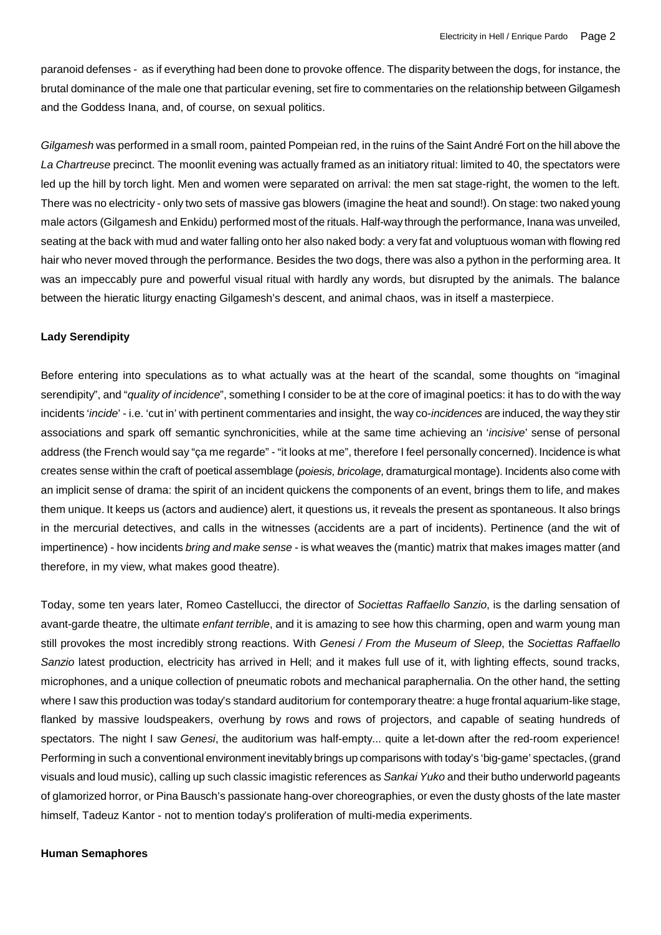paranoid defenses - as if everything had been done to provoke offence. The disparity between the dogs, for instance, the brutal dominance of the male one that particular evening, set fire to commentaries on the relationship between Gilgamesh and the Goddess Inana, and, of course, on sexual politics.

*Gilgamesh* was performed in a small room, painted Pompeian red, in the ruins of the Saint André Fort on the hill above the *La Chartreuse* precinct. The moonlit evening was actually framed as an initiatory ritual: limited to 40, the spectators were led up the hill by torch light. Men and women were separated on arrival: the men sat stage-right, the women to the left. There was no electricity - only two sets of massive gas blowers (imagine the heat and sound!). On stage: two naked young male actors (Gilgamesh and Enkidu) performed most of the rituals. Half-way through the performance, Inana was unveiled, seating at the back with mud and water falling onto her also naked body: a very fat and voluptuous woman with flowing red hair who never moved through the performance. Besides the two dogs, there was also a python in the performing area. It was an impeccably pure and powerful visual ritual with hardly any words, but disrupted by the animals. The balance between the hieratic liturgy enacting Gilgamesh's descent, and animal chaos, was in itself a masterpiece.

### **Lady Serendipity**

Before entering into speculations as to what actually was at the heart of the scandal, some thoughts on "imaginal serendipity", and "*quality of incidence*", something I consider to be at the core of imaginal poetics: it has to do with the way incidents '*incide*' - i.e. 'cut in' with pertinent commentaries and insight, the way co-*incidences* are induced, the way they stir associations and spark off semantic synchronicities, while at the same time achieving an '*incisive*' sense of personal address (the French would say "ça me regarde" - "it looks at me", therefore I feel personally concerned). Incidence is what creates sense within the craft of poetical assemblage (*poiesis, bricolage,* dramaturgical montage). Incidents also come with an implicit sense of drama: the spirit of an incident quickens the components of an event, brings them to life, and makes them unique. It keeps us (actors and audience) alert, it questions us, it reveals the present as spontaneous. It also brings in the mercurial detectives, and calls in the witnesses (accidents are a part of incidents). Pertinence (and the wit of impertinence) - how incidents *bring and make sense -* is what weaves the (mantic) matrix that makes images matter (and therefore, in my view, what makes good theatre).

Today, some ten years later, Romeo Castellucci, the director of *Societtas Raffaello Sanzio*, is the darling sensation of avant-garde theatre, the ultimate *enfant terrible*, and it is amazing to see how this charming, open and warm young man still provokes the most incredibly strong reactions. With *Genesi / From the Museum of Sleep*, the *Societtas Raffaello Sanzio* latest production, electricity has arrived in Hell; and it makes full use of it, with lighting effects, sound tracks, microphones, and a unique collection of pneumatic robots and mechanical paraphernalia. On the other hand, the setting where I saw this production was today's standard auditorium for contemporary theatre: a huge frontal aquarium-like stage, flanked by massive loudspeakers, overhung by rows and rows of projectors, and capable of seating hundreds of spectators. The night I saw *Genesi*, the auditorium was half-empty... quite a let-down after the red-room experience! Performing in such a conventional environment inevitably brings up comparisons with today's 'big-game' spectacles, (grand visuals and loud music), calling up such classic imagistic references as *Sankai Yuko* and their butho underworld pageants of glamorized horror, or Pina Bausch's passionate hang-over choreographies, or even the dusty ghosts of the late master himself, Tadeuz Kantor - not to mention today's proliferation of multi-media experiments.

#### **Human Semaphores**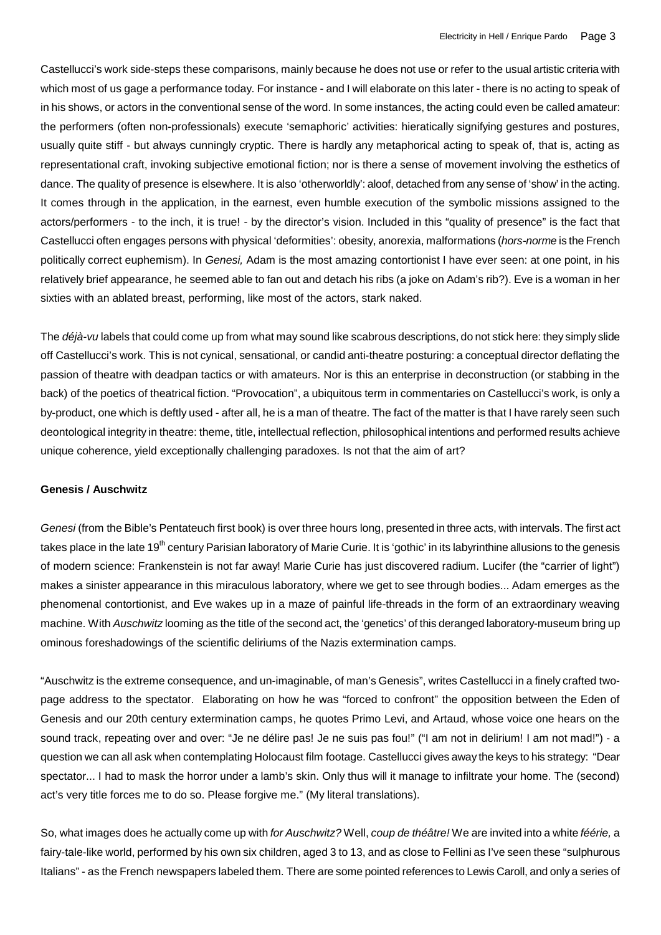Castellucci's work side-steps these comparisons, mainly because he does not use or refer to the usual artistic criteria with which most of us gage a performance today. For instance - and I will elaborate on this later - there is no acting to speak of in his shows, or actors in the conventional sense of the word. In some instances, the acting could even be called amateur: the performers (often non-professionals) execute 'semaphoric' activities: hieratically signifying gestures and postures, usually quite stiff - but always cunningly cryptic. There is hardly any metaphorical acting to speak of, that is, acting as representational craft, invoking subjective emotional fiction; nor is there a sense of movement involving the esthetics of dance. The quality of presence is elsewhere. It is also 'otherworldly': aloof, detached from any sense of 'show' in the acting. It comes through in the application, in the earnest, even humble execution of the symbolic missions assigned to the actors/performers - to the inch, it is true! - by the director's vision. Included in this "quality of presence" is the fact that Castellucci often engages persons with physical 'deformities': obesity, anorexia, malformations (*hors-norme* is the French politically correct euphemism). In *Genesi,* Adam is the most amazing contortionist I have ever seen: at one point, in his relatively brief appearance, he seemed able to fan out and detach his ribs (a joke on Adam's rib?). Eve is a woman in her sixties with an ablated breast, performing, like most of the actors, stark naked.

The *déjà-vu* labels that could come up from what may sound like scabrous descriptions, do not stick here: they simply slide off Castellucci's work. This is not cynical, sensational, or candid anti-theatre posturing: a conceptual director deflating the passion of theatre with deadpan tactics or with amateurs. Nor is this an enterprise in deconstruction (or stabbing in the back) of the poetics of theatrical fiction. "Provocation", a ubiquitous term in commentaries on Castellucci's work, is only a by-product, one which is deftly used - after all, he is a man of theatre. The fact of the matter is that I have rarely seen such deontological integrity in theatre: theme, title, intellectual reflection, philosophical intentions and performed results achieve unique coherence, yield exceptionally challenging paradoxes. Is not that the aim of art?

### **Genesis / Auschwitz**

*Genesi* (from the Bible's Pentateuch first book) is over three hours long, presented in three acts, with intervals. The first act takes place in the late 19<sup>th</sup> century Parisian laboratory of Marie Curie. It is 'gothic' in its labyrinthine allusions to the genesis of modern science: Frankenstein is not far away! Marie Curie has just discovered radium. Lucifer (the "carrier of light") makes a sinister appearance in this miraculous laboratory, where we get to see through bodies... Adam emerges as the phenomenal contortionist, and Eve wakes up in a maze of painful life-threads in the form of an extraordinary weaving machine. With *Auschwitz* looming as the title of the second act, the 'genetics' of this deranged laboratory-museum bring up ominous foreshadowings of the scientific deliriums of the Nazis extermination camps.

"Auschwitz is the extreme consequence, and un-imaginable, of man's Genesis", writes Castellucci in a finely crafted twopage address to the spectator. Elaborating on how he was "forced to confront" the opposition between the Eden of Genesis and our 20th century extermination camps, he quotes Primo Levi, and Artaud, whose voice one hears on the sound track, repeating over and over: "Je ne délire pas! Je ne suis pas fou!" ("I am not in delirium! I am not mad!") - a question we can all ask when contemplating Holocaust film footage. Castellucci gives away the keys to his strategy: "Dear spectator... I had to mask the horror under a lamb's skin. Only thus will it manage to infiltrate your home. The (second) act's very title forces me to do so. Please forgive me." (My literal translations).

So, what images does he actually come up with *for Auschwitz?* Well, *coup de théâtre!* We are invited into a white *féérie,* a fairy-tale-like world, performed by his own six children, aged 3 to 13, and as close to Fellini as I've seen these "sulphurous Italians" - as the French newspapers labeled them. There are some pointed references to Lewis Caroll, and only a series of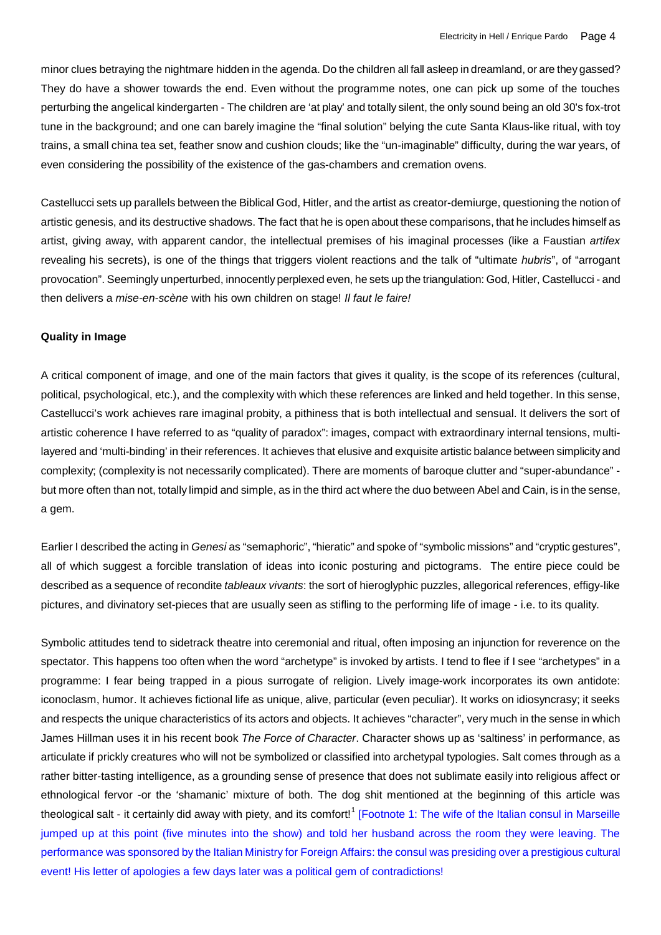minor clues betraying the nightmare hidden in the agenda. Do the children all fall asleep in dreamland, or are they gassed? They do have a shower towards the end. Even without the programme notes, one can pick up some of the touches perturbing the angelical kindergarten - The children are 'at play' and totally silent, the only sound being an old 30's fox-trot tune in the background; and one can barely imagine the "final solution" belying the cute Santa Klaus-like ritual, with toy trains, a small china tea set, feather snow and cushion clouds; like the "un-imaginable" difficulty, during the war years, of even considering the possibility of the existence of the gas-chambers and cremation ovens.

Castellucci sets up parallels between the Biblical God, Hitler, and the artist as creator-demiurge, questioning the notion of artistic genesis, and its destructive shadows. The fact that he is open about these comparisons, that he includes himself as artist, giving away, with apparent candor, the intellectual premises of his imaginal processes (like a Faustian *artifex* revealing his secrets), is one of the things that triggers violent reactions and the talk of "ultimate *hubris*", of "arrogant provocation". Seemingly unperturbed, innocently perplexed even, he sets up the triangulation: God, Hitler, Castellucci - and then delivers a *mise-en-scène* with his own children on stage! *Il faut le faire!*

### **Quality in Image**

A critical component of image, and one of the main factors that gives it quality, is the scope of its references (cultural, political, psychological, etc.), and the complexity with which these references are linked and held together. In this sense, Castellucci's work achieves rare imaginal probity, a pithiness that is both intellectual and sensual. It delivers the sort of artistic coherence I have referred to as "quality of paradox": images, compact with extraordinary internal tensions, multilayered and 'multi-binding' in their references. It achieves that elusive and exquisite artistic balance between simplicity and complexity; (complexity is not necessarily complicated). There are moments of baroque clutter and "super-abundance" but more often than not, totally limpid and simple, as in the third act where the duo between Abel and Cain, is in the sense, a gem.

Earlier I described the acting in *Genesi* as "semaphoric", "hieratic" and spoke of "symbolic missions" and "cryptic gestures", all of which suggest a forcible translation of ideas into iconic posturing and pictograms. The entire piece could be described as a sequence of recondite *tableaux vivants*: the sort of hieroglyphic puzzles, allegorical references, effigy-like pictures, and divinatory set-pieces that are usually seen as stifling to the performing life of image - i.e. to its quality.

Symbolic attitudes tend to sidetrack theatre into ceremonial and ritual, often imposing an injunction for reverence on the spectator. This happens too often when the word "archetype" is invoked by artists. I tend to flee if I see "archetypes" in a programme: I fear being trapped in a pious surrogate of religion. Lively image-work incorporates its own antidote: iconoclasm, humor. It achieves fictional life as unique, alive, particular (even peculiar). It works on idiosyncrasy; it seeks and respects the unique characteristics of its actors and objects. It achieves "character", very much in the sense in which James Hillman uses it in his recent book *The Force of Character*. Character shows up as 'saltiness' in performance, as articulate if prickly creatures who will not be symbolized or classified into archetypal typologies. Salt comes through as a rather bitter-tasting intelligence, as a grounding sense of presence that does not sublimate easily into religious affect or ethnological fervor -or the 'shamanic' mixture of both. The dog shit mentioned at the beginning of this article was theological salt - it certainly did away with piety, and its comfort!<sup>1</sup> [Footnote 1: The wife of the Italian consul in Marseille jumped up at this point (five minutes into the show) and told her husband across the room they were leaving. The performance was sponsored by the Italian Ministry for Foreign Affairs: the consul was presiding over a prestigious cultural event! His letter of apologies a few days later was a political gem of contradictions!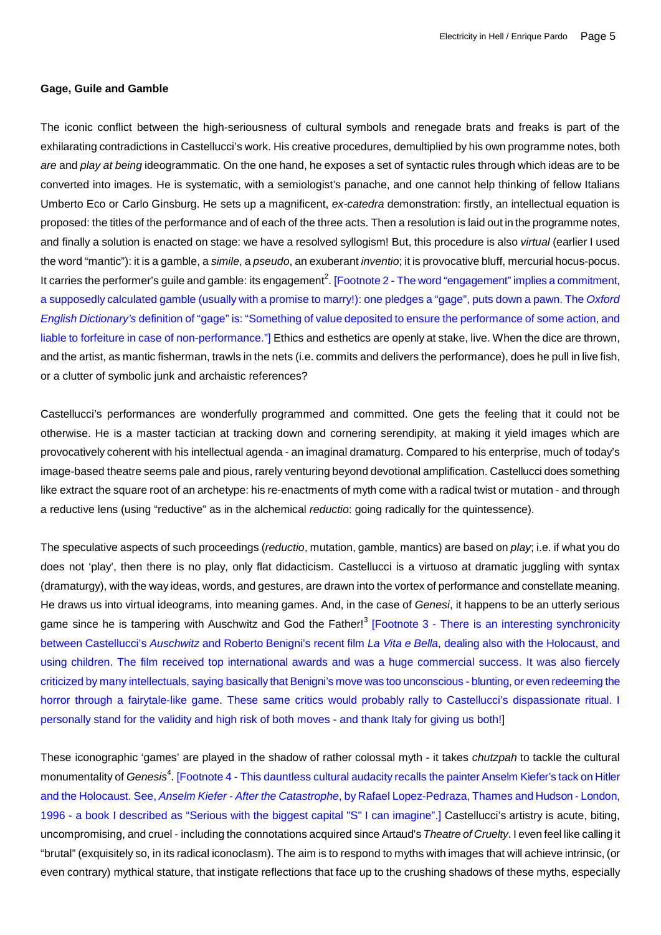#### **Gage, Guile and Gamble**

The iconic conflict between the high-seriousness of cultural symbols and renegade brats and freaks is part of the exhilarating contradictions in Castellucci's work. His creative procedures, demultiplied by his own programme notes, both *are* and *play at being* ideogrammatic. On the one hand, he exposes a set of syntactic rules through which ideas are to be converted into images. He is systematic, with a semiologist's panache, and one cannot help thinking of fellow Italians Umberto Eco or Carlo Ginsburg. He sets up a magnificent, *ex-catedra* demonstration: firstly, an intellectual equation is proposed: the titles of the performance and of each of the three acts. Then a resolution is laid out in the programme notes, and finally a solution is enacted on stage: we have a resolved syllogism! But, this procedure is also *virtual* (earlier I used the word "mantic"): it is a gamble, a *simile*, a *pseudo*, an exuberant *inventio*; it is provocative bluff, mercurial hocus-pocus. It carries the performer's guile and gamble: its engagement<sup>2</sup>. [Footnote 2 - The word "engagement" implies a commitment, a supposedly calculated gamble (usually with a promise to marry!): one pledges a "gage", puts down a pawn. The *Oxford English Dictionary's* definition of "gage" is: "Something of value deposited to ensure the performance of some action, and liable to forfeiture in case of non-performance."] Ethics and esthetics are openly at stake, live. When the dice are thrown, and the artist, as mantic fisherman, trawls in the nets (i.e. commits and delivers the performance), does he pull in live fish, or a clutter of symbolic junk and archaistic references?

Castellucci's performances are wonderfully programmed and committed. One gets the feeling that it could not be otherwise. He is a master tactician at tracking down and cornering serendipity, at making it yield images which are provocatively coherent with his intellectual agenda - an imaginal dramaturg. Compared to his enterprise, much of today's image-based theatre seems pale and pious, rarely venturing beyond devotional amplification. Castellucci does something like extract the square root of an archetype: his re-enactments of myth come with a radical twist or mutation - and through a reductive lens (using "reductive" as in the alchemical *reductio*: going radically for the quintessence).

The speculative aspects of such proceedings (*reductio*, mutation, gamble, mantics) are based on *play*; i.e. if what you do does not 'play', then there is no play, only flat didacticism. Castellucci is a virtuoso at dramatic juggling with syntax (dramaturgy), with the way ideas, words, and gestures, are drawn into the vortex of performance and constellate meaning. He draws us into virtual ideograms, into meaning games. And, in the case of *Genesi*, it happens to be an utterly serious game since he is tampering with Auschwitz and God the Father!<sup>3</sup> [Footnote 3 - There is an interesting synchronicity between Castellucci's *Auschwitz* and Roberto Benigni's recent film *La Vita e Bella*, dealing also with the Holocaust, and using children. The film received top international awards and was a huge commercial success. It was also fiercely criticized by many intellectuals, saying basically that Benigni's move was too unconscious - blunting, or even redeeming the horror through a fairytale-like game. These same critics would probably rally to Castellucci's dispassionate ritual. I personally stand for the validity and high risk of both moves - and thank Italy for giving us both!]

These iconographic 'games' are played in the shadow of rather colossal myth - it takes *chutzpah* to tackle the cultural monumentality of *Genesis<sup>4</sup>*. [Footnote 4 - This dauntless cultural audacity recalls the painter Anselm Kiefer's tack on Hitler and the Holocaust. See, *Anselm Kiefer - After the Catastrophe*, by Rafael Lopez-Pedraza, Thames and Hudson - London, 1996 - a book I described as "Serious with the biggest capital "S" I can imagine".] Castellucci's artistry is acute, biting, uncompromising, and cruel - including the connotations acquired since Artaud's *Theatre of Cruelty*. I even feel like calling it "brutal" (exquisitely so, in its radical iconoclasm). The aim is to respond to myths with images that will achieve intrinsic, (or even contrary) mythical stature, that instigate reflections that face up to the crushing shadows of these myths, especially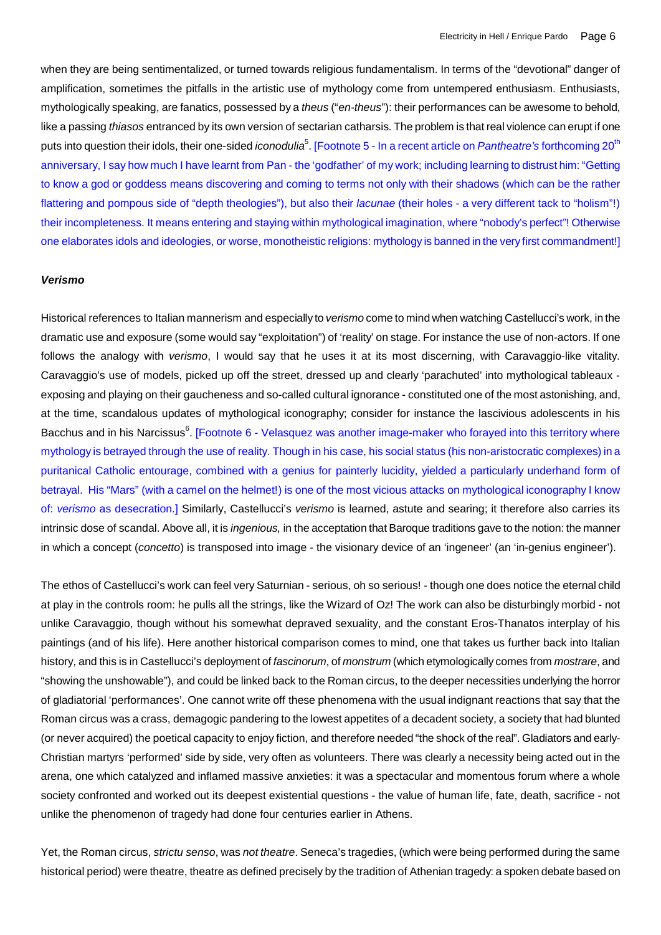when they are being sentimentalized, or turned towards religious fundamentalism. In terms of the "devotional" danger of amplification, sometimes the pitfalls in the artistic use of mythology come from untempered enthusiasm. Enthusiasts, mythologically speaking, are fanatics, possessed by a *theus* ("*en-theus*"): their performances can be awesome to behold, like a passing *thiasos* entranced by its own version of sectarian catharsis. The problem is that real violence can erupt if one puts into question their idols, their one-sided *iconodulia<sup>5</sup>.* [Footnote 5 - In a recent article on *Pantheatre's* forthcoming 20<sup>th</sup> anniversary, I say how much I have learnt from Pan - the 'godfather' of my work; including learning to distrust him: "Getting to know a god or goddess means discovering and coming to terms not only with their shadows (which can be the rather flattering and pompous side of "depth theologies"), but also their *lacunae* (their holes - a very different tack to "holism"!) their incompleteness. It means entering and staying within mythological imagination, where "nobody's perfect"! Otherwise one elaborates idols and ideologies, or worse, monotheistic religions: mythology is banned in the very first commandment!]

#### *Verismo*

Historical references to Italian mannerism and especially to *verismo* come to mind when watching Castellucci's work, in the dramatic use and exposure (some would say "exploitation") of 'reality' on stage. For instance the use of non-actors. If one follows the analogy with *verismo*, I would say that he uses it at its most discerning, with Caravaggio-like vitality. Caravaggio's use of models, picked up off the street, dressed up and clearly 'parachuted' into mythological tableaux exposing and playing on their gaucheness and so-called cultural ignorance - constituted one of the most astonishing, and, at the time, scandalous updates of mythological iconography; consider for instance the lascivious adolescents in his Bacchus and in his Narcissus<sup>6</sup>. [Footnote 6 - Velasquez was another image-maker who forayed into this territory where mythology is betrayed through the use of reality. Though in his case, his social status (his non-aristocratic complexes) in a puritanical Catholic entourage, combined with a genius for painterly lucidity, yielded a particularly underhand form of betrayal. His "Mars" (with a camel on the helmet!) is one of the most vicious attacks on mythological iconography I know of: *verismo* as desecration.] Similarly, Castellucci's *verismo* is learned, astute and searing; it therefore also carries its intrinsic dose of scandal. Above all, it is *ingenious,* in the acceptation that Baroque traditions gave to the notion: the manner in which a concept (*concetto*) is transposed into image - the visionary device of an 'ingeneer' (an 'in-genius engineer').

The ethos of Castellucci's work can feel very Saturnian - serious, oh so serious! - though one does notice the eternal child at play in the controls room: he pulls all the strings, like the Wizard of Oz! The work can also be disturbingly morbid - not unlike Caravaggio, though without his somewhat depraved sexuality, and the constant Eros-Thanatos interplay of his paintings (and of his life). Here another historical comparison comes to mind, one that takes us further back into Italian history, and this is in Castellucci's deployment of *fascinorum*, of *monstrum* (which etymologically comes from *mostrare*, and "showing the unshowable"), and could be linked back to the Roman circus, to the deeper necessities underlying the horror of gladiatorial 'performances'. One cannot write off these phenomena with the usual indignant reactions that say that the Roman circus was a crass, demagogic pandering to the lowest appetites of a decadent society, a society that had blunted (or never acquired) the poetical capacity to enjoy fiction, and therefore needed "the shock of the real". Gladiators and early-Christian martyrs 'performed' side by side, very often as volunteers. There was clearly a necessity being acted out in the arena, one which catalyzed and inflamed massive anxieties: it was a spectacular and momentous forum where a whole society confronted and worked out its deepest existential questions - the value of human life, fate, death, sacrifice - not unlike the phenomenon of tragedy had done four centuries earlier in Athens.

Yet, the Roman circus, *strictu senso*, was *not theatre*. Seneca's tragedies, (which were being performed during the same historical period) were theatre, theatre as defined precisely by the tradition of Athenian tragedy: a spoken debate based on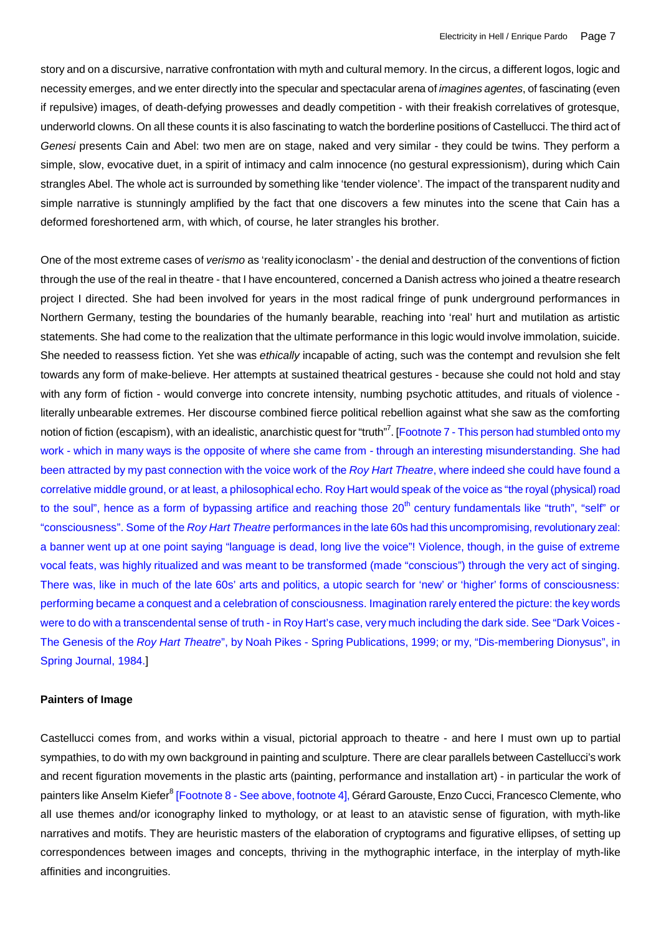story and on a discursive, narrative confrontation with myth and cultural memory. In the circus, a different logos, logic and necessity emerges, and we enter directly into the specular and spectacular arena of *imagines agentes*, of fascinating (even if repulsive) images, of death-defying prowesses and deadly competition - with their freakish correlatives of grotesque, underworld clowns. On all these counts it is also fascinating to watch the borderline positions of Castellucci. The third act of *Genesi* presents Cain and Abel: two men are on stage, naked and very similar - they could be twins. They perform a simple, slow, evocative duet, in a spirit of intimacy and calm innocence (no gestural expressionism), during which Cain strangles Abel. The whole act is surrounded by something like 'tender violence'. The impact of the transparent nudity and simple narrative is stunningly amplified by the fact that one discovers a few minutes into the scene that Cain has a deformed foreshortened arm, with which, of course, he later strangles his brother.

One of the most extreme cases of *verismo* as 'reality iconoclasm' - the denial and destruction of the conventions of fiction through the use of the real in theatre - that I have encountered, concerned a Danish actress who joined a theatre research project I directed. She had been involved for years in the most radical fringe of punk underground performances in Northern Germany, testing the boundaries of the humanly bearable, reaching into 'real' hurt and mutilation as artistic statements. She had come to the realization that the ultimate performance in this logic would involve immolation, suicide. She needed to reassess fiction. Yet she was *ethically* incapable of acting, such was the contempt and revulsion she felt towards any form of make-believe. Her attempts at sustained theatrical gestures - because she could not hold and stay with any form of fiction - would converge into concrete intensity, numbing psychotic attitudes, and rituals of violence literally unbearable extremes. Her discourse combined fierce political rebellion against what she saw as the comforting notion of fiction (escapism), with an idealistic, anarchistic quest for "truth"<sup>7</sup>. [Footnote 7 - This person had stumbled onto my work - which in many ways is the opposite of where she came from - through an interesting misunderstanding. She had been attracted by my past connection with the voice work of the *Roy Hart Theatre*, where indeed she could have found a correlative middle ground, or at least, a philosophical echo. Roy Hart would speak of the voice as "the royal (physical) road to the soul", hence as a form of bypassing artifice and reaching those 20<sup>th</sup> century fundamentals like "truth", "self" or "consciousness". Some of the *Roy Hart Theatre* performances in the late 60s had this uncompromising, revolutionary zeal: a banner went up at one point saying "language is dead, long live the voice"! Violence, though, in the guise of extreme vocal feats, was highly ritualized and was meant to be transformed (made "conscious") through the very act of singing. There was, like in much of the late 60s' arts and politics, a utopic search for 'new' or 'higher' forms of consciousness: performing became a conquest and a celebration of consciousness. Imagination rarely entered the picture: the key words were to do with a transcendental sense of truth - in Roy Hart's case, very much including the dark side. See "Dark Voices - The Genesis of the *Roy Hart Theatre*", by Noah Pikes - Spring Publications, 1999; or my, "Dis-membering Dionysus", in Spring Journal, 1984.]

### **Painters of Image**

Castellucci comes from, and works within a visual, pictorial approach to theatre - and here I must own up to partial sympathies, to do with my own background in painting and sculpture. There are clear parallels between Castellucci's work and recent figuration movements in the plastic arts (painting, performance and installation art) - in particular the work of painters like Anselm Kiefer<sup>8</sup> [Footnote 8 - See above, footnote 4], Gérard Garouste, Enzo Cucci, Francesco Clemente, who all use themes and/or iconography linked to mythology, or at least to an atavistic sense of figuration, with myth-like narratives and motifs. They are heuristic masters of the elaboration of cryptograms and figurative ellipses, of setting up correspondences between images and concepts, thriving in the mythographic interface, in the interplay of myth-like affinities and incongruities.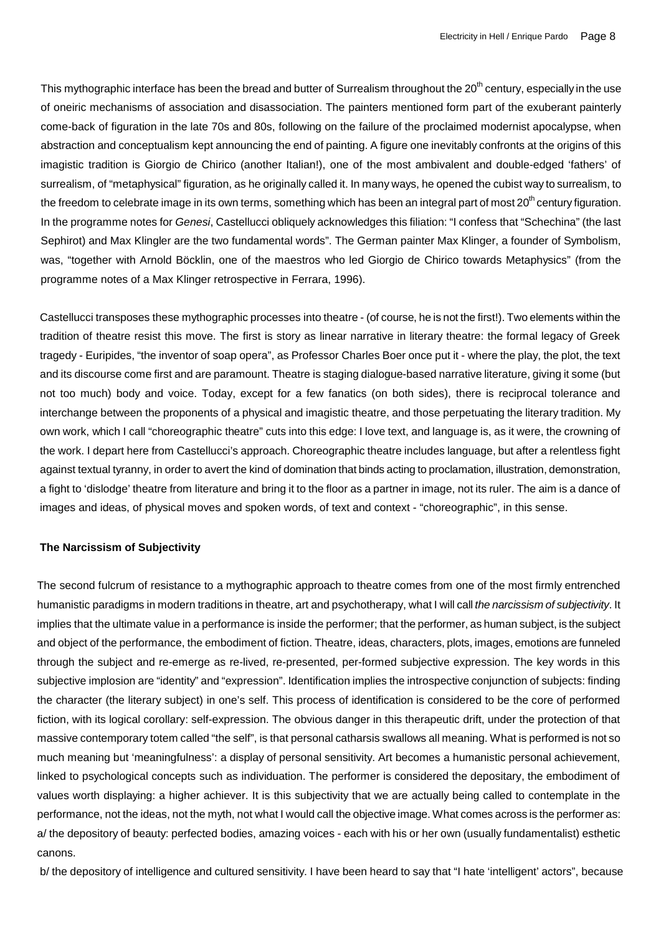This mythographic interface has been the bread and butter of Surrealism throughout the  $20<sup>th</sup>$  century, especially in the use of oneiric mechanisms of association and disassociation. The painters mentioned form part of the exuberant painterly come-back of figuration in the late 70s and 80s, following on the failure of the proclaimed modernist apocalypse, when abstraction and conceptualism kept announcing the end of painting. A figure one inevitably confronts at the origins of this imagistic tradition is Giorgio de Chirico (another Italian!), one of the most ambivalent and double-edged 'fathers' of surrealism, of "metaphysical" figuration, as he originally called it. In many ways, he opened the cubist way to surrealism, to the freedom to celebrate image in its own terms, something which has been an integral part of most  $20<sup>th</sup>$  century figuration. In the programme notes for *Genesi*, Castellucci obliquely acknowledges this filiation: "I confess that "Schechina" (the last Sephirot) and Max Klingler are the two fundamental words". The German painter Max Klinger, a founder of Symbolism, was, "together with Arnold Böcklin, one of the maestros who led Giorgio de Chirico towards Metaphysics" (from the programme notes of a Max Klinger retrospective in Ferrara, 1996).

Castellucci transposes these mythographic processes into theatre - (of course, he is not the first!). Two elements within the tradition of theatre resist this move. The first is story as linear narrative in literary theatre: the formal legacy of Greek tragedy - Euripides, "the inventor of soap opera", as Professor Charles Boer once put it - where the play, the plot, the text and its discourse come first and are paramount. Theatre is staging dialogue-based narrative literature, giving it some (but not too much) body and voice. Today, except for a few fanatics (on both sides), there is reciprocal tolerance and interchange between the proponents of a physical and imagistic theatre, and those perpetuating the literary tradition. My own work, which I call "choreographic theatre" cuts into this edge: I love text, and language is, as it were, the crowning of the work. I depart here from Castellucci's approach. Choreographic theatre includes language, but after a relentless fight against textual tyranny, in order to avert the kind of domination that binds acting to proclamation, illustration, demonstration, a fight to 'dislodge' theatre from literature and bring it to the floor as a partner in image, not its ruler. The aim is a dance of images and ideas, of physical moves and spoken words, of text and context - "choreographic", in this sense.

### **The Narcissism of Subjectivity**

The second fulcrum of resistance to a mythographic approach to theatre comes from one of the most firmly entrenched humanistic paradigms in modern traditions in theatre, art and psychotherapy, what I will call *the narcissism of subjectivity*. It implies that the ultimate value in a performance is inside the performer; that the performer, as human subject, is the subject and object of the performance, the embodiment of fiction. Theatre, ideas, characters, plots, images, emotions are funneled through the subject and re-emerge as re-lived, re-presented, per-formed subjective expression. The key words in this subjective implosion are "identity" and "expression". Identification implies the introspective conjunction of subjects: finding the character (the literary subject) in one's self. This process of identification is considered to be the core of performed fiction, with its logical corollary: self-expression. The obvious danger in this therapeutic drift, under the protection of that massive contemporary totem called "the self", is that personal catharsis swallows all meaning. What is performed is not so much meaning but 'meaningfulness': a display of personal sensitivity. Art becomes a humanistic personal achievement, linked to psychological concepts such as individuation. The performer is considered the depositary, the embodiment of values worth displaying: a higher achiever. It is this subjectivity that we are actually being called to contemplate in the performance, not the ideas, not the myth, not what I would call the objective image. What comes across is the performer as: a/ the depository of beauty: perfected bodies, amazing voices - each with his or her own (usually fundamentalist) esthetic canons.

b/ the depository of intelligence and cultured sensitivity. I have been heard to say that "I hate 'intelligent' actors", because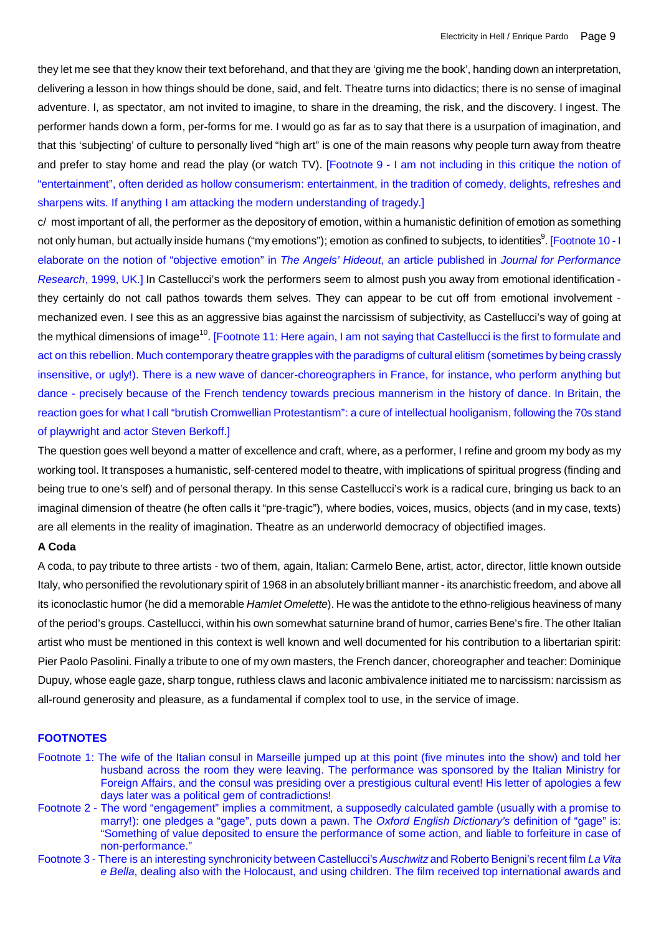they let me see that they know their text beforehand, and that they are 'giving me the book', handing down an interpretation, delivering a lesson in how things should be done, said, and felt. Theatre turns into didactics; there is no sense of imaginal adventure. I, as spectator, am not invited to imagine, to share in the dreaming, the risk, and the discovery. I ingest. The performer hands down a form, per-forms for me. I would go as far as to say that there is a usurpation of imagination, and that this 'subjecting' of culture to personally lived "high art" is one of the main reasons why people turn away from theatre and prefer to stay home and read the play (or watch TV). [Footnote 9 - I am not including in this critique the notion of "entertainment", often derided as hollow consumerism: entertainment, in the tradition of comedy, delights, refreshes and sharpens wits. If anything I am attacking the modern understanding of tragedy.]

c/ most important of all, the performer as the depository of emotion, within a humanistic definition of emotion as something not only human, but actually inside humans ("my emotions"); emotion as confined to subjects, to identities<sup>9</sup>. [Footnote 10 - I elaborate on the notion of "objective emotion" in *The Angels' Hideout*, an article published in *Journal for Performance Research*, 1999, UK.] In Castellucci's work the performers seem to almost push you away from emotional identification they certainly do not call pathos towards them selves. They can appear to be cut off from emotional involvement mechanized even. I see this as an aggressive bias against the narcissism of subjectivity, as Castellucci's way of going at the mythical dimensions of image<sup>10</sup>. [Footnote 11: Here again, I am not saying that Castellucci is the first to formulate and act on this rebellion. Much contemporary theatre grapples with the paradigms of cultural elitism (sometimes by being crassly insensitive, or ugly!). There is a new wave of dancer-choreographers in France, for instance, who perform anything but dance - precisely because of the French tendency towards precious mannerism in the history of dance. In Britain, the reaction goes for what I call "brutish Cromwellian Protestantism": a cure of intellectual hooliganism, following the 70s stand of playwright and actor Steven Berkoff.]

The question goes well beyond a matter of excellence and craft, where, as a performer, I refine and groom my body as my working tool. It transposes a humanistic, self-centered model to theatre, with implications of spiritual progress (finding and being true to one's self) and of personal therapy. In this sense Castellucci's work is a radical cure, bringing us back to an imaginal dimension of theatre (he often calls it "pre-tragic"), where bodies, voices, musics, objects (and in my case, texts) are all elements in the reality of imagination. Theatre as an underworld democracy of objectified images.

# **A Coda**

A coda, to pay tribute to three artists - two of them, again, Italian: Carmelo Bene, artist, actor, director, little known outside Italy, who personified the revolutionary spirit of 1968 in an absolutely brilliant manner - its anarchistic freedom, and above all its iconoclastic humor (he did a memorable *Hamlet Omelette*). He was the antidote to the ethno-religious heaviness of many of the period's groups. Castellucci, within his own somewhat saturnine brand of humor, carries Bene's fire. The other Italian artist who must be mentioned in this context is well known and well documented for his contribution to a libertarian spirit: Pier Paolo Pasolini. Finally a tribute to one of my own masters, the French dancer, choreographer and teacher: Dominique Dupuy, whose eagle gaze, sharp tongue, ruthless claws and laconic ambivalence initiated me to narcissism: narcissism as all-round generosity and pleasure, as a fundamental if complex tool to use, in the service of image.

## **FOOTNOTES**

- Footnote 1: The wife of the Italian consul in Marseille jumped up at this point (five minutes into the show) and told her husband across the room they were leaving. The performance was sponsored by the Italian Ministry for Foreign Affairs, and the consul was presiding over a prestigious cultural event! His letter of apologies a few days later was a political gem of contradictions!
- Footnote 2 The word "engagement" implies a commitment, a supposedly calculated gamble (usually with a promise to marry!): one pledges a "gage", puts down a pawn. The *Oxford English Dictionary's* definition of "gage" is: "Something of value deposited to ensure the performance of some action, and liable to forfeiture in case of non-performance."
- Footnote 3 There is an interesting synchronicity between Castellucci's *Auschwitz* and Roberto Benigni's recent film *La Vita e Bella*, dealing also with the Holocaust, and using children. The film received top international awards and